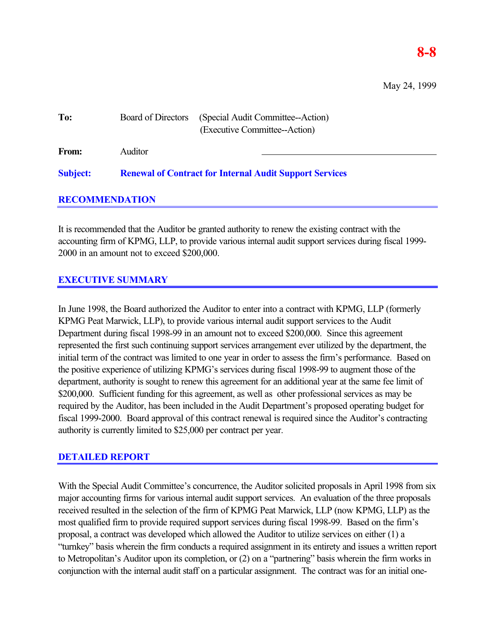## **8-8**

May 24, 1999

| To:             | Board of Directors                                             | (Special Audit Committee--Action)<br>(Executive Committee--Action) |
|-----------------|----------------------------------------------------------------|--------------------------------------------------------------------|
| <b>From:</b>    | Auditor                                                        |                                                                    |
| <b>Subject:</b> | <b>Renewal of Contract for Internal Audit Support Services</b> |                                                                    |

## **RECOMMENDATION**

It is recommended that the Auditor be granted authority to renew the existing contract with the accounting firm of KPMG, LLP, to provide various internal audit support services during fiscal 1999- 2000 in an amount not to exceed \$200,000.

## **EXECUTIVE SUMMARY**

In June 1998, the Board authorized the Auditor to enter into a contract with KPMG, LLP (formerly KPMG Peat Marwick, LLP), to provide various internal audit support services to the Audit Department during fiscal 1998-99 in an amount not to exceed \$200,000. Since this agreement represented the first such continuing support services arrangement ever utilized by the department, the initial term of the contract was limited to one year in order to assess the firm's performance. Based on the positive experience of utilizing KPMG's services during fiscal 1998-99 to augment those of the department, authority is sought to renew this agreement for an additional year at the same fee limit of \$200,000. Sufficient funding for this agreement, as well as other professional services as may be required by the Auditor, has been included in the Audit Department's proposed operating budget for fiscal 1999-2000. Board approval of this contract renewal is required since the Auditor's contracting authority is currently limited to \$25,000 per contract per year.

## **DETAILED REPORT**

With the Special Audit Committee's concurrence, the Auditor solicited proposals in April 1998 from six major accounting firms for various internal audit support services. An evaluation of the three proposals received resulted in the selection of the firm of KPMG Peat Marwick, LLP (now KPMG, LLP) as the most qualified firm to provide required support services during fiscal 1998-99. Based on the firm's proposal, a contract was developed which allowed the Auditor to utilize services on either (1) a "turnkey" basis wherein the firm conducts a required assignment in its entirety and issues a written report to Metropolitan's Auditor upon its completion, or (2) on a "partnering" basis wherein the firm works in conjunction with the internal audit staff on a particular assignment. The contract was for an initial one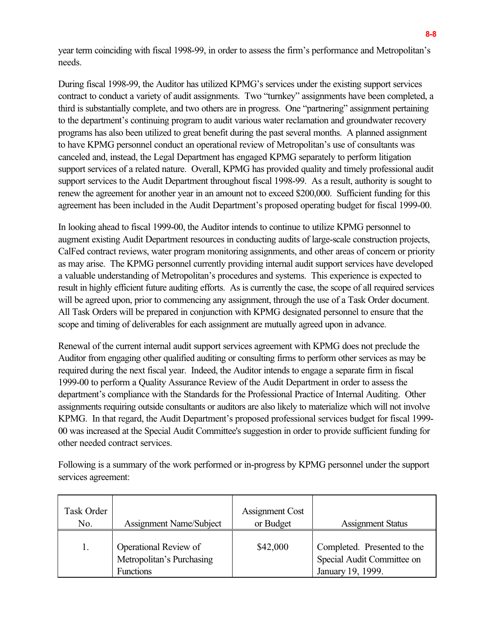year term coinciding with fiscal 1998-99, in order to assess the firm's performance and Metropolitan's needs.

During fiscal 1998-99, the Auditor has utilized KPMG's services under the existing support services contract to conduct a variety of audit assignments. Two "turnkey" assignments have been completed, a third is substantially complete, and two others are in progress. One "partnering" assignment pertaining to the department's continuing program to audit various water reclamation and groundwater recovery programs has also been utilized to great benefit during the past several months. A planned assignment to have KPMG personnel conduct an operational review of Metropolitan's use of consultants was canceled and, instead, the Legal Department has engaged KPMG separately to perform litigation support services of a related nature. Overall, KPMG has provided quality and timely professional audit support services to the Audit Department throughout fiscal 1998-99. As a result, authority is sought to renew the agreement for another year in an amount not to exceed \$200,000. Sufficient funding for this agreement has been included in the Audit Department's proposed operating budget for fiscal 1999-00.

In looking ahead to fiscal 1999-00, the Auditor intends to continue to utilize KPMG personnel to augment existing Audit Department resources in conducting audits of large-scale construction projects, CalFed contract reviews, water program monitoring assignments, and other areas of concern or priority as may arise. The KPMG personnel currently providing internal audit support services have developed a valuable understanding of Metropolitan's procedures and systems. This experience is expected to result in highly efficient future auditing efforts. As is currently the case, the scope of all required services will be agreed upon, prior to commencing any assignment, through the use of a Task Order document. All Task Orders will be prepared in conjunction with KPMG designated personnel to ensure that the scope and timing of deliverables for each assignment are mutually agreed upon in advance.

Renewal of the current internal audit support services agreement with KPMG does not preclude the Auditor from engaging other qualified auditing or consulting firms to perform other services as may be required during the next fiscal year. Indeed, the Auditor intends to engage a separate firm in fiscal 1999-00 to perform a Quality Assurance Review of the Audit Department in order to assess the department's compliance with the Standards for the Professional Practice of Internal Auditing. Other assignments requiring outside consultants or auditors are also likely to materialize which will not involve KPMG. In that regard, the Audit Department's proposed professional services budget for fiscal 1999- 00 was increased at the Special Audit Committee's suggestion in order to provide sufficient funding for other needed contract services.

Following is a summary of the work performed or in-progress by KPMG personnel under the support services agreement:

| Task Order<br>No. | Assignment Name/Subject                                                | Assignment Cost<br>or Budget | <b>Assignment Status</b>                                                       |
|-------------------|------------------------------------------------------------------------|------------------------------|--------------------------------------------------------------------------------|
|                   | Operational Review of<br>Metropolitan's Purchasing<br><b>Functions</b> | \$42,000                     | Completed. Presented to the<br>Special Audit Committee on<br>January 19, 1999. |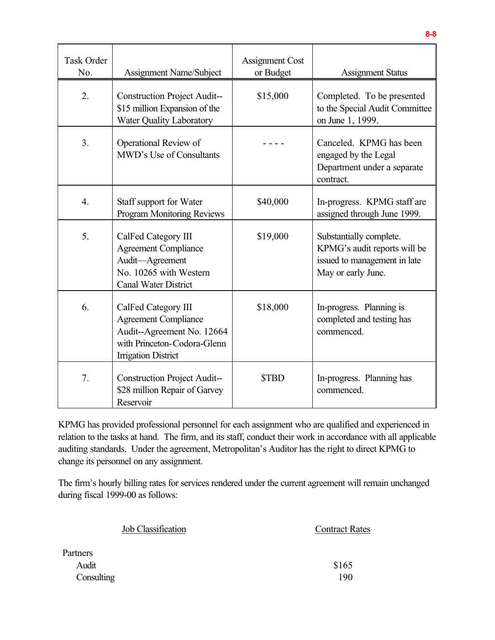| <b>Task Order</b><br>No. | Assignment Name/Subject                                                                                                                       | <b>Assignment Cost</b><br>or Budget | <b>Assignment Status</b>                                                                                      |
|--------------------------|-----------------------------------------------------------------------------------------------------------------------------------------------|-------------------------------------|---------------------------------------------------------------------------------------------------------------|
| 2.                       | <b>Construction Project Audit--</b><br>\$15 million Expansion of the<br><b>Water Quality Laboratory</b>                                       | \$15,000                            | Completed. To be presented<br>to the Special Audit Committee<br>on June 1, 1999.                              |
| 3.                       | Operational Review of<br>MWD's Use of Consultants                                                                                             |                                     | Canceled. KPMG has been<br>engaged by the Legal<br>Department under a separate<br>contract.                   |
| $\overline{4}$ .         | Staff support for Water<br><b>Program Monitoring Reviews</b>                                                                                  | \$40,000                            | In-progress. KPMG staff are<br>assigned through June 1999.                                                    |
| 5.                       | CalFed Category III<br><b>Agreement Compliance</b><br>Audit-Agreement<br>No. 10265 with Western<br><b>Canal Water District</b>                | \$19,000                            | Substantially complete.<br>KPMG's audit reports will be<br>issued to management in late<br>May or early June. |
| 6.                       | CalFed Category III<br><b>Agreement Compliance</b><br>Audit--Agreement No. 12664<br>with Princeton-Codora-Glenn<br><b>Irrigation District</b> | \$18,000                            | In-progress. Planning is<br>completed and testing has<br>commenced.                                           |
| 7.                       | <b>Construction Project Audit--</b><br>\$28 million Repair of Garvey<br>Reservoir                                                             | <b>STBD</b>                         | In-progress. Planning has<br>commenced.                                                                       |

KPMG has provided professional personnel for each assignment who are qualified and experienced in relation to the tasks at hand. The firm, and its staff, conduct their work in accordance with all applicable auditing standards. Under the agreement, Metropolitan's Auditor has the right to direct KPMG to change its personnel on any assignment.

The firm's hourly billing rates for services rendered under the current agreement will remain unchanged during fiscal 1999-00 as follows:

| Job Classification | <b>Contract Rates</b> |
|--------------------|-----------------------|
| Partners           |                       |
| Audit              | \$165                 |
| Consulting         | 190                   |